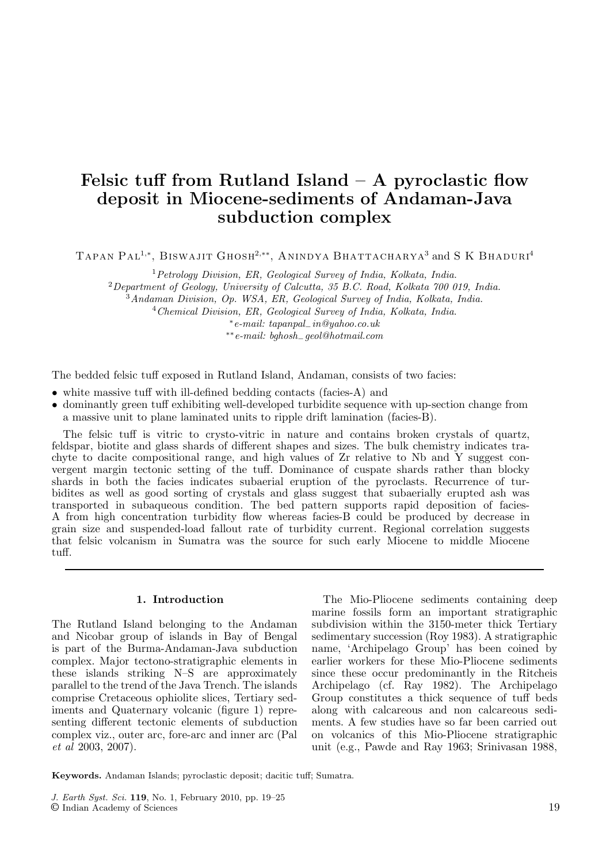# **Felsic tuff from Rutland Island – A pyroclastic flow deposit in Miocene-sediments of Andaman-Java subduction complex**

TAPAN PAL<sup>1,∗</sup>, BISWAJIT GHOSH<sup>2,∗∗</sup>, ANINDYA BHATTACHARYA<sup>3</sup> and S K BHADURI<sup>4</sup>

<sup>1</sup>*Petrology Division, ER, Geological Survey of India, Kolkata, India.*

<sup>2</sup>*Department of Geology, University of Calcutta, 35 B.C. Road, Kolkata 700 019, India.*

<sup>3</sup>*Andaman Division, Op. WSA, ER, Geological Survey of India, Kolkata, India.*

<sup>4</sup>*Chemical Division, ER, Geological Survey of India, Kolkata, India.*

<sup>∗</sup>*e-mail: tapanpal*−*in@yahoo.co.uk* ∗∗*e-mail: bghosh*−*geol@hotmail.com*

The bedded felsic tuff exposed in Rutland Island, Andaman, consists of two facies:

- white massive tuff with ill-defined bedding contacts (facies-A) and
- dominantly green tuff exhibiting well-developed turbidite sequence with up-section change from a massive unit to plane laminated units to ripple drift lamination (facies-B).

The felsic tuff is vitric to crysto-vitric in nature and contains broken crystals of quartz, feldspar, biotite and glass shards of different shapes and sizes. The bulk chemistry indicates trachyte to dacite compositional range, and high values of  $Zr$  relative to Nb and  $\bar{Y}$  suggest convergent margin tectonic setting of the tuff. Dominance of cuspate shards rather than blocky shards in both the facies indicates subaerial eruption of the pyroclasts. Recurrence of turbidites as well as good sorting of crystals and glass suggest that subaerially erupted ash was transported in subaqueous condition. The bed pattern supports rapid deposition of facies-A from high concentration turbidity flow whereas facies-B could be produced by decrease in grain size and suspended-load fallout rate of turbidity current. Regional correlation suggests that felsic volcanism in Sumatra was the source for such early Miocene to middle Miocene tuff.

## **1. Introduction**

The Rutland Island belonging to the Andaman and Nicobar group of islands in Bay of Bengal is part of the Burma-Andaman-Java subduction complex. Major tectono-stratigraphic elements in these islands striking N–S are approximately parallel to the trend of the Java Trench. The islands comprise Cretaceous ophiolite slices, Tertiary sediments and Quaternary volcanic (figure 1) representing different tectonic elements of subduction complex viz., outer arc, fore-arc and inner arc (Pal *et al* 2003, 2007).

The Mio-Pliocene sediments containing deep marine fossils form an important stratigraphic subdivision within the 3150-meter thick Tertiary sedimentary succession (Roy 1983). A stratigraphic name, 'Archipelago Group' has been coined by earlier workers for these Mio-Pliocene sediments since these occur predominantly in the Ritcheis Archipelago (cf. Ray 1982). The Archipelago Group constitutes a thick sequence of tuff beds along with calcareous and non calcareous sediments. A few studies have so far been carried out on volcanics of this Mio-Pliocene stratigraphic unit (e.g., Pawde and Ray 1963; Srinivasan 1988,

**Keywords.** Andaman Islands; pyroclastic deposit; dacitic tuff; Sumatra.

J. Earth Syst. Sci. **119**, No. 1, February 2010, pp. 19–25 © Indian Academy of Sciences 19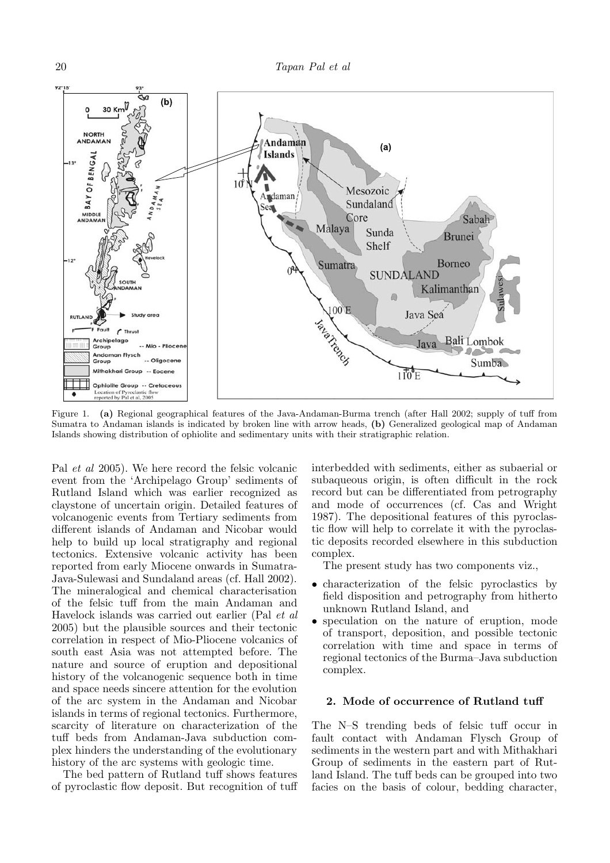

Figure 1. **(a)** Regional geographical features of the Java-Andaman-Burma trench (after Hall 2002; supply of tuff from Sumatra to Andaman islands is indicated by broken line with arrow heads, **(b)** Generalized geological map of Andaman Islands showing distribution of ophiolite and sedimentary units with their stratigraphic relation.

Pal *et al* 2005). We here record the felsic volcanic event from the 'Archipelago Group' sediments of Rutland Island which was earlier recognized as claystone of uncertain origin. Detailed features of volcanogenic events from Tertiary sediments from different islands of Andaman and Nicobar would help to build up local stratigraphy and regional tectonics. Extensive volcanic activity has been reported from early Miocene onwards in Sumatra-Java-Sulewasi and Sundaland areas (cf. Hall 2002). The mineralogical and chemical characterisation of the felsic tuff from the main Andaman and Havelock islands was carried out earlier (Pal *et al* 2005) but the plausible sources and their tectonic correlation in respect of Mio-Pliocene volcanics of south east Asia was not attempted before. The nature and source of eruption and depositional history of the volcanogenic sequence both in time and space needs sincere attention for the evolution of the arc system in the Andaman and Nicobar islands in terms of regional tectonics. Furthermore, scarcity of literature on characterization of the tuff beds from Andaman-Java subduction complex hinders the understanding of the evolutionary history of the arc systems with geologic time.

The bed pattern of Rutland tuff shows features of pyroclastic flow deposit. But recognition of tuff interbedded with sediments, either as subaerial or subaqueous origin, is often difficult in the rock record but can be differentiated from petrography and mode of occurrences (cf. Cas and Wright 1987). The depositional features of this pyroclastic flow will help to correlate it with the pyroclastic deposits recorded elsewhere in this subduction complex.

The present study has two components viz.,

- characterization of the felsic pyroclastics by field disposition and petrography from hitherto unknown Rutland Island, and
- speculation on the nature of eruption, mode of transport, deposition, and possible tectonic correlation with time and space in terms of regional tectonics of the Burma–Java subduction complex.

## **2. Mode of occurrence of Rutland tuff**

The N–S trending beds of felsic tuff occur in fault contact with Andaman Flysch Group of sediments in the western part and with Mithakhari Group of sediments in the eastern part of Rutland Island. The tuff beds can be grouped into two facies on the basis of colour, bedding character,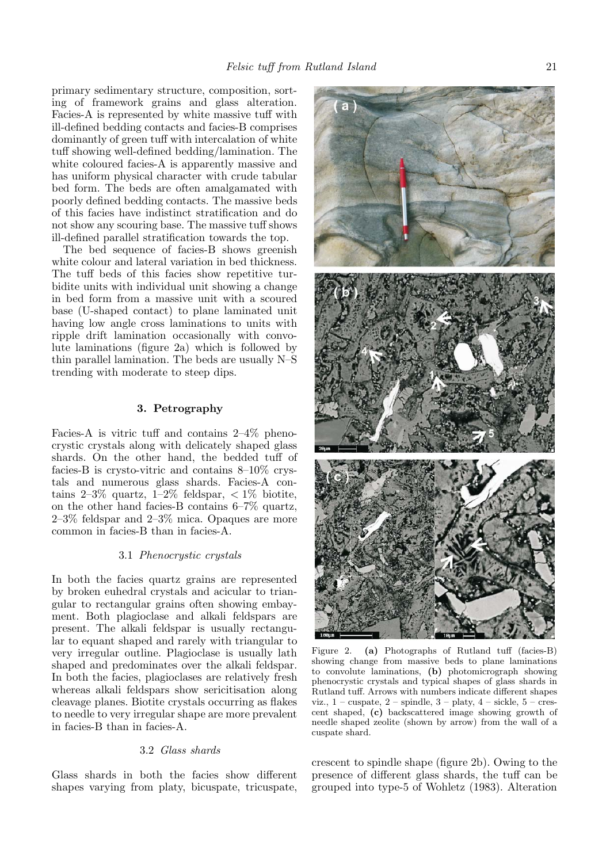$\overline{a}$ 

primary sedimentary structure, composition, sorting of framework grains and glass alteration. Facies-A is represented by white massive tuff with ill-defined bedding contacts and facies-B comprises dominantly of green tuff with intercalation of white tuff showing well-defined bedding/lamination. The white coloured facies-A is apparently massive and has uniform physical character with crude tabular bed form. The beds are often amalgamated with poorly defined bedding contacts. The massive beds of this facies have indistinct stratification and do not show any scouring base. The massive tuff shows ill-defined parallel stratification towards the top.

The bed sequence of facies-B shows greenish white colour and lateral variation in bed thickness. The tuff beds of this facies show repetitive turbidite units with individual unit showing a change in bed form from a massive unit with a scoured base (U-shaped contact) to plane laminated unit having low angle cross laminations to units with ripple drift lamination occasionally with convolute laminations (figure 2a) which is followed by thin parallel lamination. The beds are usually N–S trending with moderate to steep dips.

## **3. Petrography**

Facies-A is vitric tuff and contains 2–4% phenocrystic crystals along with delicately shaped glass shards. On the other hand, the bedded tuff of facies-B is crysto-vitric and contains 8–10% crystals and numerous glass shards. Facies-A contains  $2-3\%$  quartz,  $1-2\%$  feldspar,  $\lt 1\%$  biotite, on the other hand facies-B contains 6–7% quartz, 2–3% feldspar and 2–3% mica. Opaques are more common in facies-B than in facies-A.

## 3.1 *Phenocrystic crystals*

In both the facies quartz grains are represented by broken euhedral crystals and acicular to triangular to rectangular grains often showing embayment. Both plagioclase and alkali feldspars are present. The alkali feldspar is usually rectangular to equant shaped and rarely with triangular to very irregular outline. Plagioclase is usually lath shaped and predominates over the alkali feldspar. In both the facies, plagioclases are relatively fresh whereas alkali feldspars show sericitisation along cleavage planes. Biotite crystals occurring as flakes to needle to very irregular shape are more prevalent in facies-B than in facies-A.

## 3.2 *Glass shards*

Glass shards in both the facies show different shapes varying from platy, bicuspate, tricuspate,



Figure 2. **(a)** Photographs of Rutland tuff (facies-B) showing change from massive beds to plane laminations to convolute laminations, **(b)** photomicrograph showing phenocrystic crystals and typical shapes of glass shards in Rutland tuff. Arrows with numbers indicate different shapes viz.,  $1 - \text{cuspate}, 2 - \text{spindle}, 3 - \text{platv}, 4 - \text{sickle}, 5 - \text{cres}$ cent shaped, **(c)** backscattered image showing growth of needle shaped zeolite (shown by arrow) from the wall of a cuspate shard.

crescent to spindle shape (figure 2b). Owing to the presence of different glass shards, the tuff can be grouped into type-5 of Wohletz (1983). Alteration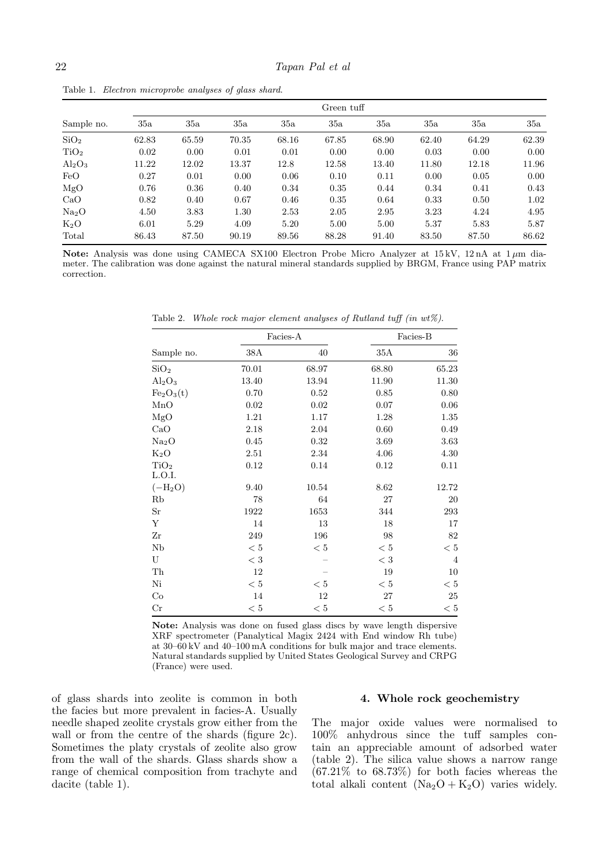|                   | Green tuff |       |       |       |       |       |       |       |       |  |  |
|-------------------|------------|-------|-------|-------|-------|-------|-------|-------|-------|--|--|
| Sample no.        | 35a        | 35a   | 35a   | 35a   | 35a   | 35a   | 35a   | 35a   | 35a   |  |  |
| SiO <sub>2</sub>  | 62.83      | 65.59 | 70.35 | 68.16 | 67.85 | 68.90 | 62.40 | 64.29 | 62.39 |  |  |
| TiO <sub>2</sub>  | 0.02       | 0.00  | 0.01  | 0.01  | 0.00  | 0.00  | 0.03  | 0.00  | 0.00  |  |  |
| $\rm Al_2O_3$     | 11.22      | 12.02 | 13.37 | 12.8  | 12.58 | 13.40 | 11.80 | 12.18 | 11.96 |  |  |
| FeO               | 0.27       | 0.01  | 0.00  | 0.06  | 0.10  | 0.11  | 0.00  | 0.05  | 0.00  |  |  |
| MgO               | 0.76       | 0.36  | 0.40  | 0.34  | 0.35  | 0.44  | 0.34  | 0.41  | 0.43  |  |  |
| CaO               | 0.82       | 0.40  | 0.67  | 0.46  | 0.35  | 0.64  | 0.33  | 0.50  | 1.02  |  |  |
| Na <sub>2</sub> O | 4.50       | 3.83  | 1.30  | 2.53  | 2.05  | 2.95  | 3.23  | 4.24  | 4.95  |  |  |
| $K_2O$            | 6.01       | 5.29  | 4.09  | 5.20  | 5.00  | 5.00  | 5.37  | 5.83  | 5.87  |  |  |
| Total             | 86.43      | 87.50 | 90.19 | 89.56 | 88.28 | 91.40 | 83.50 | 87.50 | 86.62 |  |  |

Table 1. Electron microprobe analyses of glass shard.

**Note:** Analysis was done using CAMECA SX100 Electron Probe Micro Analyzer at 15 kV, 12 nA at 1 *µ*m diameter. The calibration was done against the natural mineral standards supplied by BRGM, France using PAP matrix correction.

|                                    |         | Facies-A | Facies-B |                |  |
|------------------------------------|---------|----------|----------|----------------|--|
| Sample no.                         | 38A     | 40       | 35A      | 36             |  |
| SiO <sub>2</sub>                   | 70.01   | 68.97    | 68.80    | 65.23          |  |
| $Al_2O_3$                          | 13.40   | 13.94    | 11.90    | 11.30          |  |
| Fe <sub>2</sub> O <sub>3</sub> (t) | 0.70    | 0.52     | 0.85     | 0.80           |  |
| ${\rm MnO}$                        | 0.02    | 0.02     | 0.07     | 0.06           |  |
| MgO                                | 1.21    | 1.17     | 1.28     | 1.35           |  |
| CaO                                | 2.18    | 2.04     | 0.60     | 0.49           |  |
| Na <sub>2</sub> O                  | 0.45    | 0.32     | 3.69     | 3.63           |  |
| $K_2O$                             | 2.51    | 2.34     | 4.06     | 4.30           |  |
| TiO <sub>2</sub>                   | 0.12    | 0.14     | 0.12     | 0.11           |  |
| L.O.I.                             |         |          |          |                |  |
| $(-H2O)$                           | 9.40    | 10.54    | 8.62     | 12.72          |  |
| Rb                                 | 78      | 64       | 27       | 20             |  |
| $S_{r}$                            | 1922    | 1653     | 344      | 293            |  |
| Y                                  | 14      | 13       | 18       | 17             |  |
| Zr                                 | 249     | 196      | 98       | 82             |  |
| Nb                                 | < 5     | < 5      | < 5      | < 5            |  |
| U                                  | < 3     |          | < 3      | $\overline{4}$ |  |
| Th                                 | 12      |          | 19       | 10             |  |
| Ni                                 | $< 5\,$ | < 5      | < 5      | < 5            |  |
| Co                                 | 14      | 12       | $27\,$   | 25             |  |
| $_{\rm Cr}$                        | < 5     | < 5      | < 5      | $<5\,$         |  |

Table 2. Whole rock major element analyses of Rutland tuff (in wt%).

**Note:** Analysis was done on fused glass discs by wave length dispersive XRF spectrometer (Panalytical Magix 2424 with End window Rh tube) at 30–60 kV and 40–100 mA conditions for bulk major and trace elements. Natural standards supplied by United States Geological Survey and CRPG (France) were used.

of glass shards into zeolite is common in both the facies but more prevalent in facies-A. Usually needle shaped zeolite crystals grow either from the wall or from the centre of the shards (figure 2c). Sometimes the platy crystals of zeolite also grow from the wall of the shards. Glass shards show a range of chemical composition from trachyte and dacite (table 1).

#### **4. Whole rock geochemistry**

The major oxide values were normalised to 100% anhydrous since the tuff samples contain an appreciable amount of adsorbed water (table 2). The silica value shows a narrow range  $(67.21\%$  to  $68.73\%)$  for both facies whereas the total alkali content  $(Na<sub>2</sub>O + K<sub>2</sub>O)$  varies widely.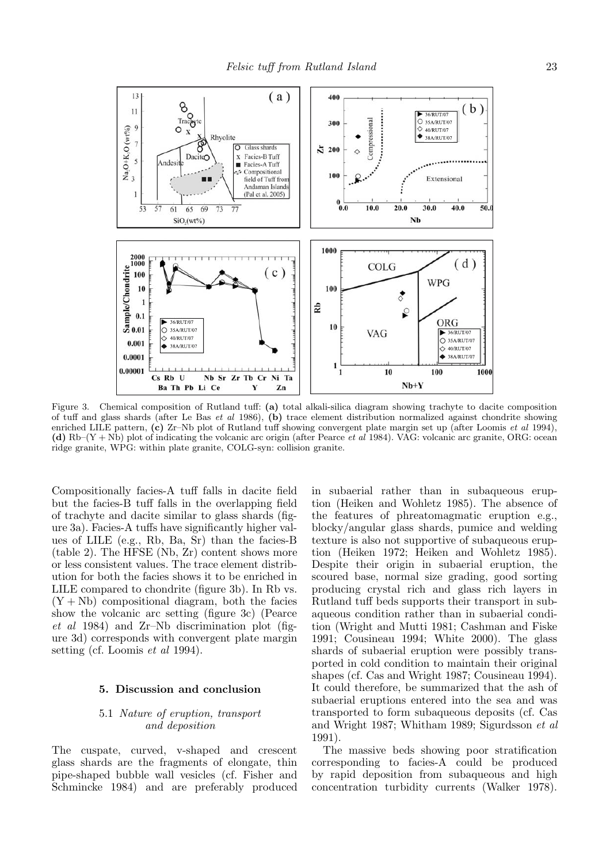

Figure 3. Chemical composition of Rutland tuff: **(a)** total alkali-silica diagram showing trachyte to dacite composition of tuff and glass shards (after Le Bas et al 1986), **(b)** trace element distribution normalized against chondrite showing enriched LILE pattern, **(c)** Zr–Nb plot of Rutland tuff showing convergent plate margin set up (after Loomis et al 1994), **(d)** Rb–(Y + Nb) plot of indicating the volcanic arc origin (after Pearce et al 1984). VAG: volcanic arc granite, ORG: ocean ridge granite, WPG: within plate granite, COLG-syn: collision granite.

Compositionally facies-A tuff falls in dacite field but the facies-B tuff falls in the overlapping field of trachyte and dacite similar to glass shards (figure 3a). Facies-A tuffs have significantly higher values of LILE (e.g., Rb, Ba, Sr) than the facies-B (table 2). The HFSE (Nb, Zr) content shows more or less consistent values. The trace element distribution for both the facies shows it to be enriched in LILE compared to chondrite (figure 3b). In Rb vs.  $(Y + Nb)$  compositional diagram, both the facies show the volcanic arc setting (figure 3c) (Pearce *et al* 1984) and Zr–Nb discrimination plot (figure 3d) corresponds with convergent plate margin setting (cf. Loomis *et al* 1994).

## **5. Discussion and conclusion**

## 5.1 *Nature of eruption, transport and deposition*

The cuspate, curved, v-shaped and crescent glass shards are the fragments of elongate, thin pipe-shaped bubble wall vesicles (cf. Fisher and Schmincke 1984) and are preferably produced in subaerial rather than in subaqueous eruption (Heiken and Wohletz 1985). The absence of the features of phreatomagmatic eruption e.g., blocky/angular glass shards, pumice and welding texture is also not supportive of subaqueous eruption (Heiken 1972; Heiken and Wohletz 1985). Despite their origin in subaerial eruption, the scoured base, normal size grading, good sorting producing crystal rich and glass rich layers in Rutland tuff beds supports their transport in subaqueous condition rather than in subaerial condition (Wright and Mutti 1981; Cashman and Fiske 1991; Cousineau 1994; White 2000). The glass shards of subaerial eruption were possibly transported in cold condition to maintain their original shapes (cf. Cas and Wright 1987; Cousineau 1994). It could therefore, be summarized that the ash of subaerial eruptions entered into the sea and was transported to form subaqueous deposits (cf. Cas and Wright 1987; Whitham 1989; Sigurdsson *et al* 1991).

The massive beds showing poor stratification corresponding to facies-A could be produced by rapid deposition from subaqueous and high concentration turbidity currents (Walker 1978).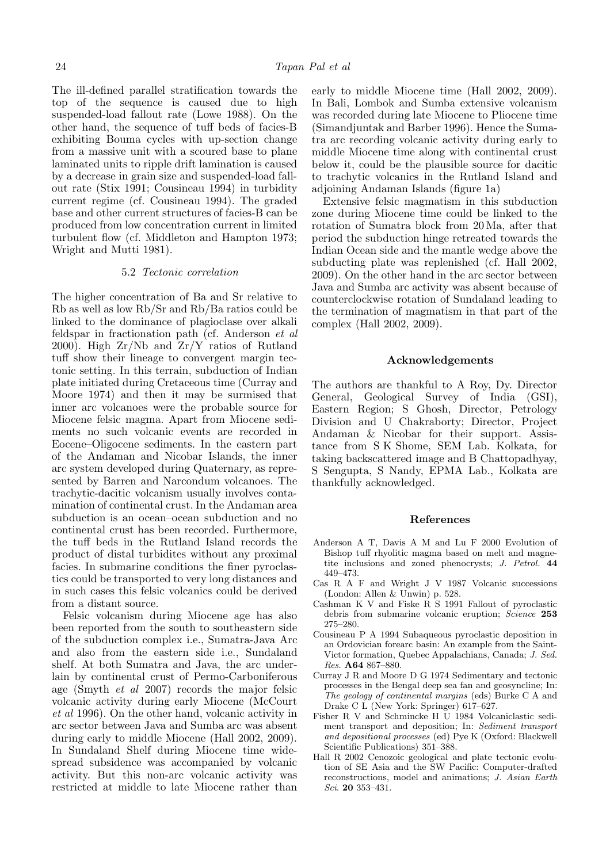The ill-defined parallel stratification towards the top of the sequence is caused due to high suspended-load fallout rate (Lowe 1988). On the other hand, the sequence of tuff beds of facies-B exhibiting Bouma cycles with up-section change from a massive unit with a scoured base to plane laminated units to ripple drift lamination is caused by a decrease in grain size and suspended-load fallout rate (Stix 1991; Cousineau 1994) in turbidity current regime (cf. Cousineau 1994). The graded base and other current structures of facies-B can be produced from low concentration current in limited turbulent flow (cf. Middleton and Hampton 1973; Wright and Mutti 1981).

#### 5.2 *Tectonic correlation*

The higher concentration of Ba and Sr relative to Rb as well as low Rb/Sr and Rb/Ba ratios could be linked to the dominance of plagioclase over alkali feldspar in fractionation path (cf. Anderson *et al* 2000). High  $Zr/Nb$  and  $Zr/Y$  ratios of Rutland tuff show their lineage to convergent margin tectonic setting. In this terrain, subduction of Indian plate initiated during Cretaceous time (Curray and Moore 1974) and then it may be surmised that inner arc volcanoes were the probable source for Miocene felsic magma. Apart from Miocene sediments no such volcanic events are recorded in Eocene–Oligocene sediments. In the eastern part of the Andaman and Nicobar Islands, the inner arc system developed during Quaternary, as represented by Barren and Narcondum volcanoes. The trachytic-dacitic volcanism usually involves contamination of continental crust. In the Andaman area subduction is an ocean–ocean subduction and no continental crust has been recorded. Furthermore, the tuff beds in the Rutland Island records the product of distal turbidites without any proximal facies. In submarine conditions the finer pyroclastics could be transported to very long distances and in such cases this felsic volcanics could be derived from a distant source.

Felsic volcanism during Miocene age has also been reported from the south to southeastern side of the subduction complex i.e., Sumatra-Java Arc and also from the eastern side i.e., Sundaland shelf. At both Sumatra and Java, the arc underlain by continental crust of Permo-Carboniferous age (Smyth *et al* 2007) records the major felsic volcanic activity during early Miocene (McCourt *et al* 1996). On the other hand, volcanic activity in arc sector between Java and Sumba arc was absent during early to middle Miocene (Hall 2002, 2009). In Sundaland Shelf during Miocene time widespread subsidence was accompanied by volcanic activity. But this non-arc volcanic activity was restricted at middle to late Miocene rather than

early to middle Miocene time (Hall 2002, 2009). In Bali, Lombok and Sumba extensive volcanism was recorded during late Miocene to Pliocene time (Simandjuntak and Barber 1996). Hence the Sumatra arc recording volcanic activity during early to middle Miocene time along with continental crust below it, could be the plausible source for dacitic to trachytic volcanics in the Rutland Island and adjoining Andaman Islands (figure 1a)

Extensive felsic magmatism in this subduction zone during Miocene time could be linked to the rotation of Sumatra block from 20 Ma, after that period the subduction hinge retreated towards the Indian Ocean side and the mantle wedge above the subducting plate was replenished (cf. Hall 2002, 2009). On the other hand in the arc sector between Java and Sumba arc activity was absent because of counterclockwise rotation of Sundaland leading to the termination of magmatism in that part of the complex (Hall 2002, 2009).

#### **Acknowledgements**

The authors are thankful to A Roy, Dy. Director General, Geological Survey of India (GSI), Eastern Region; S Ghosh, Director, Petrology Division and U Chakraborty; Director, Project Andaman & Nicobar for their support. Assistance from S K Shome, SEM Lab. Kolkata, for taking backscattered image and B Chattopadhyay, S Sengupta, S Nandy, EPMA Lab., Kolkata are thankfully acknowledged.

#### **References**

- Anderson A T, Davis A M and Lu F 2000 Evolution of Bishop tuff rhyolitic magma based on melt and magnetite inclusions and zoned phenocrysts; J. Petrol. **44** 449–473.
- Cas R A F and Wright J V 1987 Volcanic successions (London: Allen & Unwin) p. 528.
- Cashman K V and Fiske R S 1991 Fallout of pyroclastic debris from submarine volcanic eruption; Science **253** 275–280.
- Cousineau P A 1994 Subaqueous pyroclastic deposition in an Ordovician forearc basin: An example from the Saint-Victor formation, Quebec Appalachians, Canada; J. Sed. Res. **A64** 867–880.
- Curray J R and Moore D G 1974 Sedimentary and tectonic processes in the Bengal deep sea fan and geosyncline; In: The geology of continental margins (eds) Burke C A and Drake C L (New York: Springer) 617–627.
- Fisher R V and Schmincke H U 1984 Volcaniclastic sediment transport and deposition; In: Sediment transport and depositional processes (ed) Pye K (Oxford: Blackwell Scientific Publications) 351–388.
- Hall R 2002 Cenozoic geological and plate tectonic evolution of SE Asia and the SW Pacific: Computer-drafted reconstructions, model and animations; J. Asian Earth Sci. **20** 353–431.